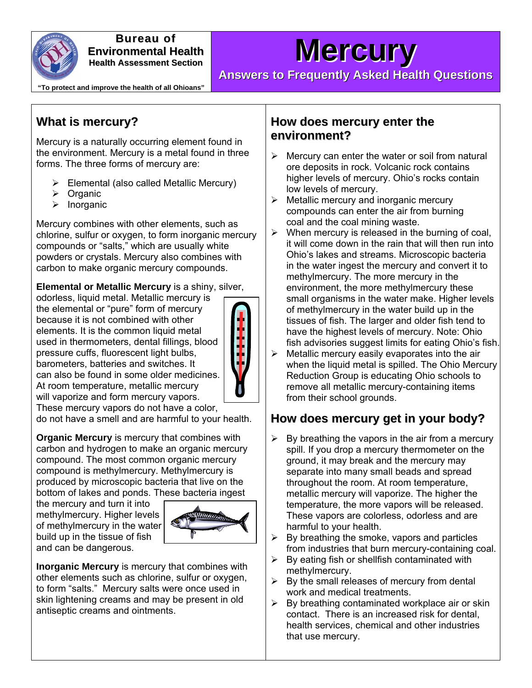

**Bureau of Environmental Health Health Assessment Section**

# **Mercury**

**"To protect and improve the health of all Ohioans"** 

**Answers to Frequently Asked Health Questions**

## **What is mercury?**

Mercury is a naturally occurring element found in the environment. Mercury is a metal found in three forms. The three forms of mercury are:

- $\triangleright$  Elemental (also called Metallic Mercury)
- $\triangleright$  Organic
- $\triangleright$  Inorganic

Mercury combines with other elements, such as chlorine, sulfur or oxygen, to form inorganic mercury compounds or "salts," which are usually white powders or crystals. Mercury also combines with carbon to make organic mercury compounds.

**Elemental or Metallic Mercury** is a shiny, silver,

odorless, liquid metal. Metallic mercury is the elemental or "pure" form of mercury because it is not combined with other elements. It is the common liquid metal used in thermometers, dental fillings, blood pressure cuffs, fluorescent light bulbs, barometers, batteries and switches. It can also be found in some older medicines. At room temperature, metallic mercury will vaporize and form mercury vapors. These mercury vapors do not have a color,



do not have a smell and are harmful to your health.

**Organic Mercury** is mercury that combines with carbon and hydrogen to make an organic mercury compound. The most common organic mercury compound is methylmercury. Methylmercury is produced by microscopic bacteria that live on the bottom of lakes and ponds. These bacteria ingest

the mercury and turn it into methylmercury. Higher levels of methylmercury in the water build up in the tissue of fish and can be dangerous.



**Inorganic Mercury** is mercury that combines with other elements such as chlorine, sulfur or oxygen, to form "salts." Mercury salts were once used in skin lightening creams and may be present in old antiseptic creams and ointments.

#### **How does mercury enter the environment?**

- $\triangleright$  Mercury can enter the water or soil from natural ore deposits in rock. Volcanic rock contains higher levels of mercury. Ohio's rocks contain low levels of mercury.
- $\triangleright$  Metallic mercury and inorganic mercury compounds can enter the air from burning coal and the coal mining waste.
- $\triangleright$  When mercury is released in the burning of coal, it will come down in the rain that will then run into Ohio's lakes and streams. Microscopic bacteria in the water ingest the mercury and convert it to methylmercury. The more mercury in the environment, the more methylmercury these small organisms in the water make. Higher levels of methylmercury in the water build up in the tissues of fish. The larger and older fish tend to have the highest levels of mercury. Note: Ohio fish advisories suggest limits for eating Ohio's fish.
- $\triangleright$  Metallic mercury easily evaporates into the air when the liquid metal is spilled. The Ohio Mercury Reduction Group is educating Ohio schools to remove all metallic mercury-containing items from their school grounds.

## **How does mercury get in your body?**

- $\triangleright$  By breathing the vapors in the air from a mercury spill. If you drop a mercury thermometer on the ground, it may break and the mercury may separate into many small beads and spread throughout the room. At room temperature, metallic mercury will vaporize. The higher the temperature, the more vapors will be released. These vapors are colorless, odorless and are harmful to your health.
- $\triangleright$  By breathing the smoke, vapors and particles from industries that burn mercury-containing coal.
- $\triangleright$  By eating fish or shellfish contaminated with methylmercury.
- $\triangleright$  By the small releases of mercury from dental work and medical treatments.
- $\triangleright$  By breathing contaminated workplace air or skin contact. There is an increased risk for dental, health services, chemical and other industries that use mercury.